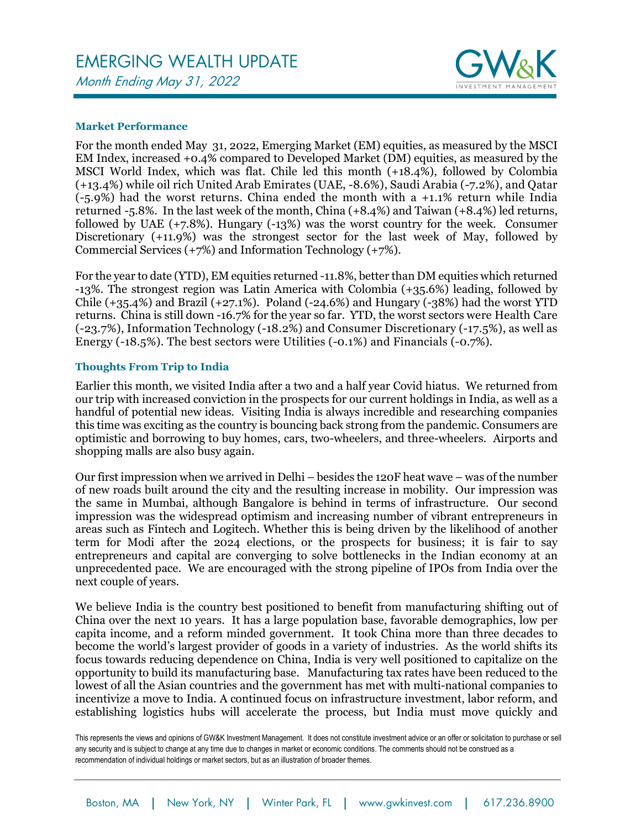## EMERGING WEALTH UPDATE Month Ending May 31, 2022



## **Market Performance**

For the month ended May 31, 2022, Emerging Market (EM) equities, as measured by the MSCI EM Index, increased +0.4% compared to Developed Market (DM) equities, as measured by the MSCI World Index, which was flat. Chile led this month (+18.4%), followed by Colombia (+13.4%) while oil rich United Arab Emirates (UAE, -8.6%), Saudi Arabia (-7.2%), and Qatar (-5.9%) had the worst returns. China ended the month with a +1.1% return while India returned -5.8%. In the last week of the month, China (+8.4%) and Taiwan (+8.4%) led returns, followed by UAE (+7.8%). Hungary (-13%) was the worst country for the week. Consumer Discretionary (+11.9%) was the strongest sector for the last week of May, followed by Commercial Services (+7%) and Information Technology (+7%).

For the year to date (YTD), EM equities returned -11.8%, better than DM equities which returned -13%. The strongest region was Latin America with Colombia (+35.6%) leading, followed by Chile  $(+35.4%)$  and Brazil  $(+27.1%)$ . Poland  $(-24.6%)$  and Hungary  $(-38%)$  had the worst YTD returns. China is still down -16.7% for the year so far. YTD, the worst sectors were Health Care (-23.7%), Information Technology (-18.2%) and Consumer Discretionary (-17.5%), as well as Energy (-18.5%). The best sectors were Utilities (-0.1%) and Financials (-0.7%).

## **Thoughts From Trip to India**

Earlier this month, we visited India after a two and a half year Covid hiatus. We returned from our trip with increased conviction in the prospects for our current holdings in India, as well as a handful of potential new ideas. Visiting India is always incredible and researching companies this time was exciting as the country is bouncing back strong from the pandemic. Consumers are optimistic and borrowing to buy homes, cars, two-wheelers, and three-wheelers. Airports and shopping malls are also busy again.

Our first impression when we arrived in Delhi – besides the 120F heat wave – was of the number of new roads built around the city and the resulting increase in mobility. Our impression was the same in Mumbai, although Bangalore is behind in terms of infrastructure. Our second impression was the widespread optimism and increasing number of vibrant entrepreneurs in areas such as Fintech and Logitech. Whether this is being driven by the likelihood of another term for Modi after the 2024 elections, or the prospects for business; it is fair to say entrepreneurs and capital are converging to solve bottlenecks in the Indian economy at an unprecedented pace. We are encouraged with the strong pipeline of IPOs from India over the next couple of years.

We believe India is the country best positioned to benefit from manufacturing shifting out of China over the next 10 years. It has a large population base, favorable demographics, low per capita income, and a reform minded government. It took China more than three decades to become the world's largest provider of goods in a variety of industries. As the world shifts its focus towards reducing dependence on China, India is very well positioned to capitalize on the opportunity to build its manufacturing base. Manufacturing tax rates have been reduced to the lowest of all the Asian countries and the government has met with multi-national companies to incentivize a move to India. A continued focus on infrastructure investment, labor reform, and establishing logistics hubs will accelerate the process, but India must move quickly and

This represents the views and opinions of GW&K Investment Management. It does not constitute investment advice or an offer or solicitation to purchase or sell any security and is subject to change at any time due to changes in market or economic conditions. The comments should not be construed as a recommendation of individual holdings or market sectors, but as an illustration of broader themes.